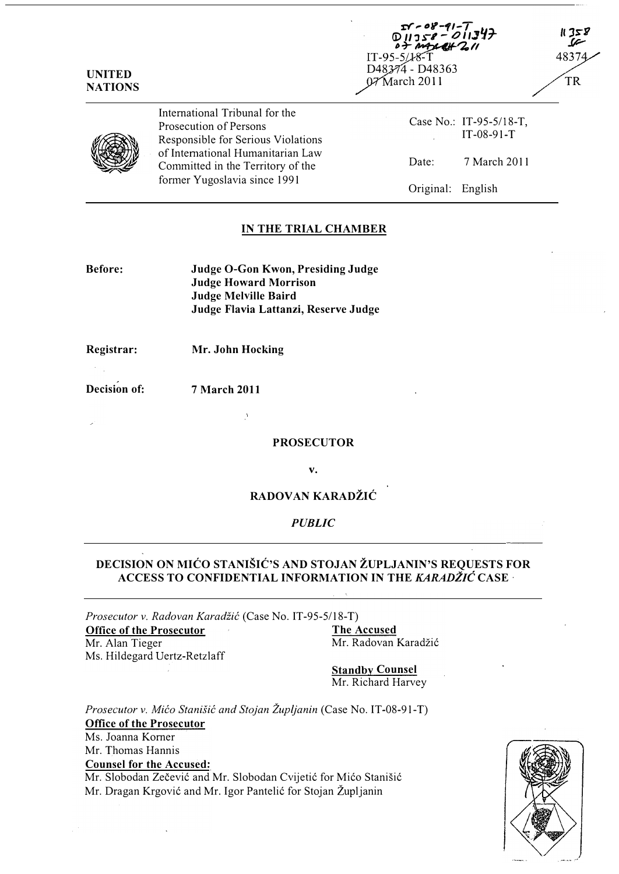| <b>UNITED</b><br><b>NATIONS</b> |                                                                                                                                                                                                          | $0.11358 - 0.11347$<br>$0.79428 + 2.11$<br>IT-95-5/18-T<br>D48374 - D48363<br>07^March 2011 |                                         | 32 X<br>48374<br><b>TR</b> |
|---------------------------------|----------------------------------------------------------------------------------------------------------------------------------------------------------------------------------------------------------|---------------------------------------------------------------------------------------------|-----------------------------------------|----------------------------|
|                                 | International Tribunal for the<br>Prosecution of Persons<br>Responsible for Serious Violations<br>of International Humanitarian Law<br>Committed in the Territory of the<br>former Yugoslavia since 1991 |                                                                                             | Case No.: IT-95-5/18-T,<br>$IT-08-91-T$ |                            |
|                                 |                                                                                                                                                                                                          | Date:                                                                                       | 7 March 2011                            |                            |
|                                 |                                                                                                                                                                                                          | Original:                                                                                   | English                                 |                            |

**r** a<sup>y</sup>-41-T

### IN THE TRIAL CHAMBER

| Before: | Judge O-Gon Kwon, Presiding Judge    |
|---------|--------------------------------------|
|         | <b>Judge Howard Morrison</b>         |
|         | Judge Melville Baird                 |
|         | Judge Flavia Lattanzi, Reserve Judge |

Registrar: Mr. John Hocking

Decision of: 7 March 2011

PROSECUTOR

v.

### RADOVAN KARADŽIĆ

#### PUBLIC

### DECISION ON MICO STANISIC'S AND STOJAN ZUPLJANIN'S REQUESTS FOR ACCESS TO CONFIDENTIAL INFORMATION IN THE KARADŽIĆ CASE ·

Prosecutor v. Radovan Karadžić (Case No. IT-95-5/18-T)<br>**Office of the Prosecutor** The Accused Office of the Prosecutor

Mr. Alan Tieger Ms. Hildegard Uertz-Retzlaff Mr. Radovan Karadžić

**Standby Counsel** Mr. Richard Harvey

Prosecutor v. Mićo Stanišić and Stojan Župljanin (Case No. IT-08-91-T) Office of the Prosecutor Ms. Joanna Korner Mr. Thomas Hannis Counsel for the Accused: Mr. Slobodan Zečević and Mr. Slobodan Cvijetić for Mićo Stanišić Mr. Dragan Krgović and Mr. Igor Pantelić for Stojan Župljanin

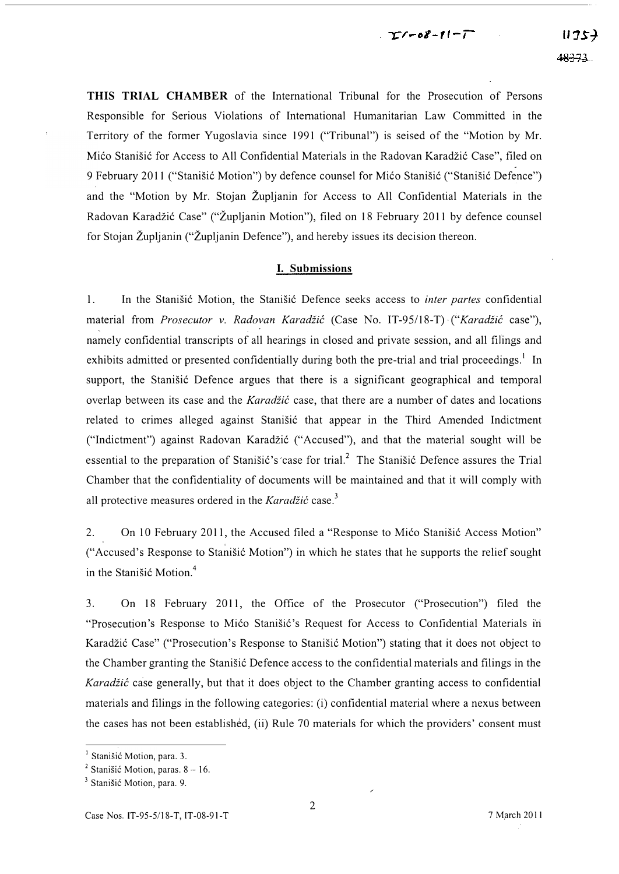### $T$  $r$ - $8 - 11 - 1$

THIS TRIAL CHAMBER of the International Tribunal for the Prosecution of Persons Responsible for Serious Violations of International Humanitarian Law Committed in the Territory of the former Yugoslavia since 1991 ("Tribunal") is seised of the "Motion by Mr. Mićo Stanišić for Access to All Confidential Materials in the Radovan Karadžić Case", filed on 9 February 2011 ("Stanišić Motion") by defence counsel for Mićo Stanišić ("Stanišić Defence") and the "Motion by Mr. Stojan Zupljanin for Access to All Confidential Materials in the Radovan Karadžić Case" ("Župljanin Motion"), filed on 18 February 2011 by defence counsel for Stojan Zupljanin ("Zupljanin Defence"), and hereby issues its decision thereon.

### I. Submissions

1. In the Stanisić Motion, the Stanisić Defence seeks access to *inter partes* confidential material from Prosecutor v. Radovan Karadžić (Case No. IT-95/18-T) ("Karadžić case"), namely confidential transcripts of all hearings in closed and private session, and all filings and exhibits admitted or presented confidentially during both the pre-trial and trial proceedings.<sup>1</sup> In support, the Stanisic Defence argues that there is a significant geographical and temporal overlap between its case and the Karadžić case, that there are a number of dates and locations related to crimes alleged against Stanišić that appear in the Third Amended Indictment ("Indictment") against Radovan Karadzi6 ("Accused"), and that the material sought will be essential to the preparation of Stanisić's 'case for trial.<sup>2</sup> The Stanisić Defence assures the Trial Chamber that the confidentiality of documents will be maintained and that it will comply with all protective measures ordered in the Karadžić case.<sup>3</sup>

2. On 10 February 2011, the Accused filed a "Response to Mićo Stanišić Access Motion" ("Accused's Response to Stanišić Motion") in which he states that he supports the relief sought in the Stanisic Motion. $4$ 

3. On 18 February 2011, the Office of the Prosecutor ("Prosecution") filed the "Prosecution's Response to Mićo Stanišić's Request for Access to Confidential Materials in Karadžić Case" ("Prosecution's Response to Stanišić Motion") stating that it does not object to the Chamber granting the Stanisić Defence access to the confidential materials and filings in the Karadžić case generally, but that it does object to the Chamber granting access to confidential materials and filings inthe following categories: (i) confidential material where a nexus between the cases has not been established, (ii) Rule 70 materials for which the providers' consent must

<sup>&</sup>lt;sup>1</sup> Stanišić Motion, para. 3.

<sup>&</sup>lt;sup>2</sup> Stanišić Motion, paras.  $8 - 16$ .

<sup>&</sup>lt;sup>3</sup> Stanišić Motion, para. 9.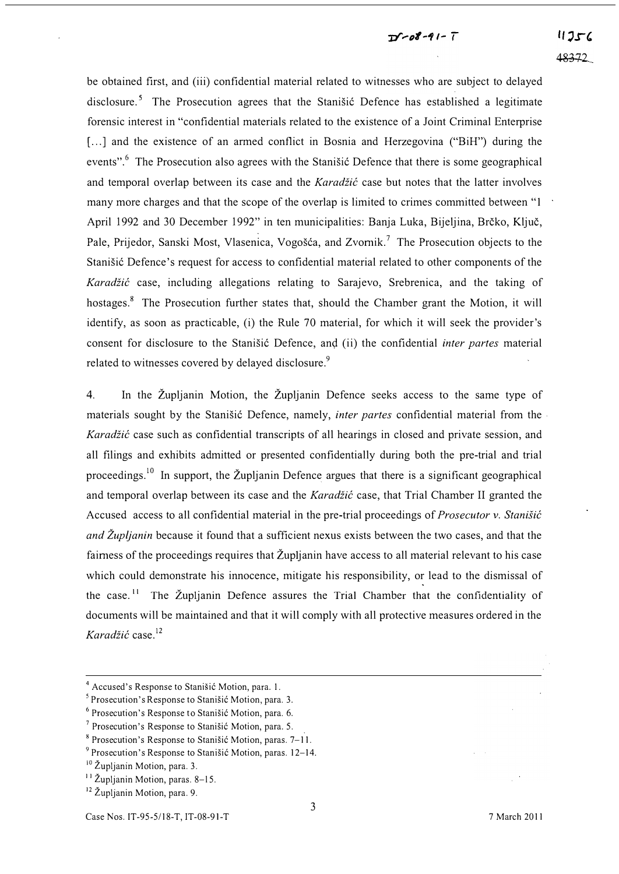## $T1 - 08 - 91 - T$

be obtained first, and (iii) confidential material related to witnesses who are subject to delayed disclosure.<sup>5</sup> The Prosecution agrees that the Stanišić Defence has established a legitimate forensic interest in "confidential materials related to the existence of a Joint Criminal Enterprise [...] and the existence of an armed conflict in Bosnia and Herzegovina ("BiH") during the events".<sup>6</sup> The Prosecution also agrees with the Stanisic Defence that there is some geographical and temporal overlap between its case and the Karadžić case but notes that the latter involves many more charges and that the scope of the overlap is limited to crimes committed between "1 April 1992 and 30 December 1992" in ten municipalities: Banja Luka, Bijeljina, Brčko, Ključ, Pale, Prijedor, Sanski Most, Vlasenica, Vogošća, and Zvornik.<sup>7</sup> The Prosecution objects to the Stanišić Defence's request for access to confidential material related to other components of the Karadžić case, including allegations relating to Sarajevo, Srebrenica, and the taking of hostages.<sup>8</sup> The Prosecution further states that, should the Chamber grant the Motion, it will identify, as soon as practicable, (i) the Rule 70 material, for which it will seek the provider's consent for disclosure to the Stanisić Defence, and (ii) the confidential *inter partes* material related to witnesses covered by delayed disclosure.<sup>9</sup>

4. In the Zupljanin Motion, the Zupljanin Defence seeks access to the same type of materials sought by the Stanišić Defence, namely, *inter partes* confidential material from the Karadžić case such as confidential transcripts of all hearings in closed and private session, and all filings and exhibits admitted or presented confidentially during both the pre-trial and trial proceedings.<sup>10</sup> In support, the Župljanin Defence argues that there is a significant geographical and temporal overlap between its case and the Karadžić case, that Trial Chamber II granted the Accused access to all confidential material in the pre-trial proceedings of *Prosecutor v. Stanišić* and Župljanin because it found that a sufficient nexus exists between the two cases, and that the fairness of the proceedings requires that Župljanin have access to all material relevant to his case which could demonstrate his innocence, mitigate his responsibility, or lead to the dismissal of the case.<sup>11</sup> The Župljanin Defence assures the Trial Chamber that the confidentiality of documents will be maintained and that it will comply with all protective measures ordered in the Karadžić case. $^{12}$ 

<sup>&</sup>lt;sup>4</sup> Accused's Response to Stanišić Motion, para. 1.

 $5$  Prosecution's Response to Stanišić Motion, para. 3.

 $6$  Prosecution's Response to Stanisic Motion, para. 6.

 $<sup>7</sup>$  Prosecution's Response to Stanišić Motion, para. 5.</sup>

 $8$  Prosecution's Response to Stanišić Motion, paras.  $7-11$ .

 $9$  Prosecution's Response to Stanisic Motion, paras. 12–14.

<sup>&</sup>lt;sup>10</sup> Župljanin Motion, para. 3.

<sup>&</sup>lt;sup>11</sup> Župljanin Motion, paras. 8-15.

<sup>&</sup>lt;sup>12</sup> Župlianin Motion, para. 9.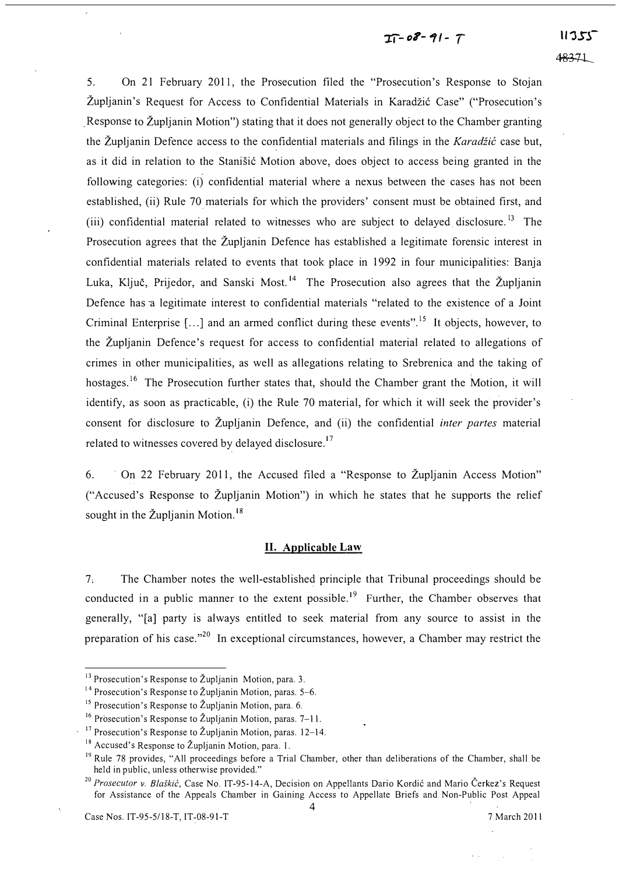# $I - 08 - 91 - 7$

5. On 21 February 2011, the Prosecution filed the "Prosecution's Response to Stojan Župljanin's Request for Access to Confidential Materials in Karadžić Case" ("Prosecution's Response to Zupljanin Motion") stating that it does not generally object to the Chamber granting the Župljanin Defence access to the confidential materials and filings in the Karadžić case but, as it did in relation to the Stanišić Motion above, does object to access being granted in the following categories: (i) confidential material where a nexus between the cases has not been established, (ii) Rule 70 materials for which the providers' consent must be obtained first, and (iii) confidential material related to witnesses who are subject to delayed disclosure. 13 The Prosecution agrees that the Zupljanin Defence has established a legitimate forensic interest in confidential materials related to events that took place in 1992 in four municipalities: Banja Luka, Ključ, Prijedor, and Sanski Most.<sup>14</sup> The Prosecution also agrees that the Župljanin Defence has a legitimate interest to confidential materials "related to the existence of a Joint Criminal Enterprise  $[\dots]$  and an armed conflict during these events".<sup>15</sup> It objects, however, to the ZupJjanin Defence's request for access to confidential material related to allegations of crimes in other municipalities, as well as allegations relating to Srebrenica and the taking of hostages.<sup>16</sup> The Prosecution further states that, should the Chamber grant the Motion, it will identify, as soon as practicable, (i) the Rule 70 material, for which it will seek the provider's consent for disclosure to Župljanin Defence, and (ii) the confidential *inter partes* material related to witnesses covered by delayed disclosure.<sup>17</sup>

6. On 22 February 2011, the Accused filed a "Response to Zupijanin Access Motion" ("Accused's Response to Zupljanin Motion") in which he states that he supports the relief sought in the Župljanin Motion.<sup>18</sup>

#### II. Applicable Law

7: The Chamber notes the well-established principle that Tribunal proceedings should be conducted in a public manner to the extent possible.<sup>19</sup> Further, the Chamber observes that generally, "[a] party is always entitled to seek material from any source to assist in the preparation of his case."<sup>20</sup> In exceptional circumstances, however, a Chamber may restrict the

 $13$  Prosecution's Response to Župljanin Motion, para. 3.

<sup>&</sup>lt;sup>14</sup> Prosecution's Response to Župljanin Motion, paras.  $5-6$ .

<sup>&</sup>lt;sup>15</sup> Prosecution's Response to Župljanin Motion, para. 6.

<sup>&</sup>lt;sup>16</sup> Prosecution's Response to Župljanin Motion, paras.  $7-11$ .

<sup>&</sup>lt;sup>17</sup> Prosecution's Response to Župljanin Motion, paras. 12-14.

 $18$  Accused's Response to Župljanin Motion, para. 1.

<sup>&</sup>lt;sup>19</sup> Rule 78 provides, "All proceedings before a Trial Chamber, other than deliberations of the Chamber, shall be held in public, unless otherwise provided."

<sup>&</sup>lt;sup>20</sup> Prosecutor v. Blaškić, Case No. IT-95-14-A, Decision on Appellants Dario Kordić and Mario Čerkez's Request for Assistance of the Appeals Chamber in Gaining Access to Appellate Briefs and Non-Public Post Appeal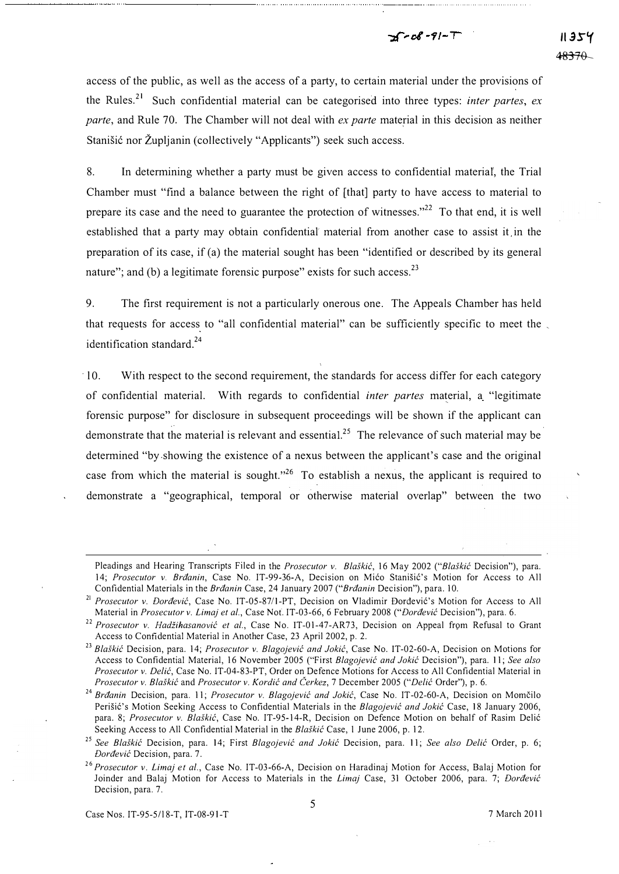# $5 - 08 - 91 - T$

access of the public, as well as the access of a party, to certain material under the provisions of the Rules.<sup>21</sup> Such confidential material can be categorised into three types: *inter partes, ex* parte, and Rule 70. The Chamber will not deal with ex parte material in this decision as neither Stanišić nor Župljanin (collectively "Applicants") seek such access.

8. In determining whether a party must be given access to confidential materiaf, the Trial Chamber must "find a balance between the right of [that] party to have access to material to prepare its case and the need to guarantee the protection of witnesses. $12^{22}$  To that end, it is well established that a party may obtain confidential' material from another case to assist it in the preparation of its case, if (a) the material sought has been "identified or described by its general nature"; and (b) a legitimate forensic purpose" exists for such access. $^{23}$ 

9. The first requirement is not a particularly onerous one. The Appeals Chamber has held that requests for access to "all confidential material" can be sufficiently specific to meet the , identification standard.<sup>24</sup>

. lO. With respect to the second requirement, the standards for access differ for each category of confidential material. With regards to confidential inter partes material, a "legitimate forensic purpose" for disclosure in subsequent proceedings will be shown if the applicant can demonstrate that the material is relevant and essential.<sup>25</sup> The relevance of such material may be determined "by.showing the existence of a nexus between the applicant's case and the original case from which the material is sought.<sup> $,26$ </sup> To establish a nexus, the applicant is required to demonstrate a "geographical, temporal or otherwise material overlap" between the two

Pleadings and Hearing Transcripts Filed in the Prosecutor v. Blaškić, 16 May 2002 ("Blaškić Decision"), para. 14; Prosecutor v. Brđanin, Case No. IT-99-36-A, Decision on Mićo Stanišić's Motion for Access to All Confidential Materials in the Brđanin Case, 24 January 2007 ("Brđanin Decision"), para. 10.

Prosecutor v. Đorđević, Case No. IT-05-87/1-PT, Decision on Vladimir Đorđević's Motion for Access to All Material in Prosecutor v. Limaj et al., Case Not. IT-03-66, 6 February 2008 ("Dordevic Decision"), para. 6.

<sup>&</sup>lt;sup>22</sup> Prosecutor v. Hadžihasanović et al., Case No. IT-01-47-AR73, Decision on Appeal from Refusal to Grant Access to Confidential Material in Another Case, 23 April 2002, p. 2.

<sup>&</sup>lt;sup>23</sup> Blaškić Decision, para. 14; Prosecutor v. Blagojević and Jokić, Case No. IT-02-60-A, Decision on Motions for Access to Confidential Material, 16 November 2005 ("First Blagojević and Jokić Decision"), para. 11; See also Prosecutor v. Delić, Case No. IT-04-83-PT, Order on Defence Motions for Access to All Confidential Material in Prosecutor v. Blaškić and Prosecutor v. Kordić and Čerkez, 7 December 2005 ("Delić Order"), p. 6.

<sup>&</sup>lt;sup>24</sup> Brđanin Decision, para. 11; Prosecutor v. Blagojević and Jokić, Case No. IT-02-60-A, Decision on Momčilo Perišić's Motion Seeking Access to Confidential Materials in the Blagojević and Jokić Case, 18 January 2006, para. 8; Prosecutor v. Blaškić, Case No. IT-95-14-R, Decision on Defence Motion on behalf of Rasim Delić Seeking Access to All Confidential Material in the Blaškić Case, 1 June 2006, p. 12.

<sup>&</sup>lt;sup>25</sup> See Blaškić Decision, para. 14; First Blagojević and Jokić Decision, para. 11; See also Delić Order, p. 6; **Dordevic** Decision, para. 7.

<sup>&</sup>lt;sup>26</sup> Prosecutor v. Limaj et al., Case No. IT-03-66-A, Decision on Haradinaj Motion for Access, Balaj Motion for Joinder and Balaj Motion for Access to Materials in the Limaj Case, 31 October 2006, para. 7; Dorđević Decision, para. 7.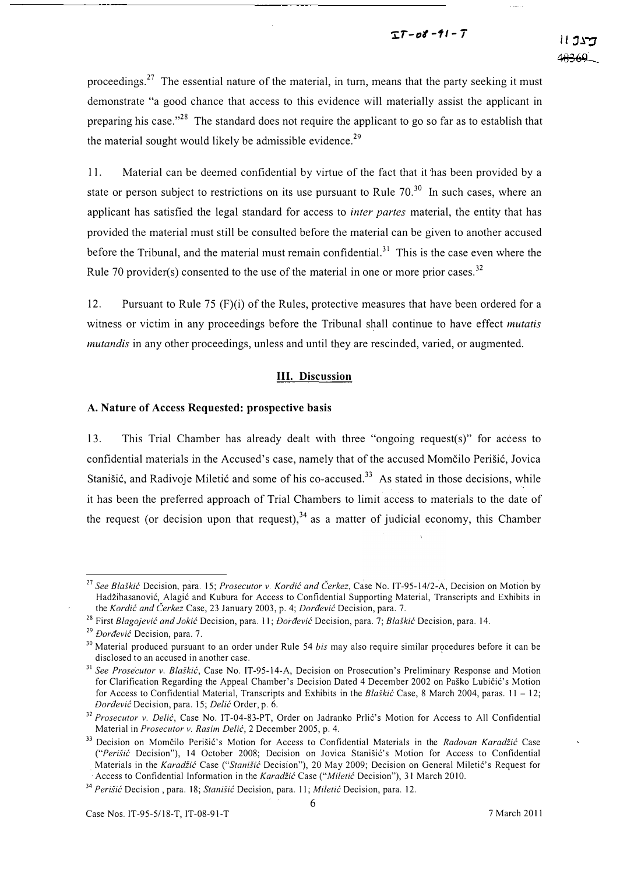### $TT - 08 - 91 - T$

proceedings.<sup>27</sup> The essential nature of the material, in turn, means that the party seeking it must demonstrate "a good chance that access to this evidence will materially assist the applicant in preparing his case."<sup>28</sup> The standard does not require the applicant to go so far as to establish that the material sought would likely be admissible evidence.<sup>29</sup>

11. Material can be deemed confidential by virtue of the fact that it 'has been provided by a state or person subject to restrictions on its use pursuant to Rule  $70<sup>30</sup>$  In such cases, where an applicant has satisfied the legal standard for access to *inter partes* material, the entity that has provided the material must still be consulted before the material can be given to another accused before the Tribunal, and the material must remain confidential.<sup>31</sup> This is the case even where the Rule 70 provider(s) consented to the use of the material in one or more prior cases.<sup>32</sup>

12. Pursuant to Rule 75  $(F)(i)$  of the Rules, protective measures that have been ordered for a witness or victim in any proceedings before the Tribunal shall continue to have effect *mutatis* mutandis in any other proceedings, unless and until they are rescinded, varied, or augmented.

### Ill. Discussion

#### A. Nature of Access Requested: prospective basis

l 3. This Trial Chamber has already dealt with three "ongoing request(s)" for access to confidential materials in the Accused's case, namely that of the accused Momčilo Perišić, Jovica Stanišić, and Radivoje Miletić and some of his co-accused.<sup>33</sup> As stated in those decisions, while it has been the preferred approach of Trial Chambers to limit access to materials to the date of the request (or decision upon that request),  $34$  as a matter of judicial economy, this Chamber

Access to Confidential Information in the Karadžić Case ("Miletić Decision"), 31 March 2010.

<sup>&</sup>lt;sup>27</sup> See Blaškić Decision, para. 15; Prosecutor v. Kordić and Čerkez, Case No. IT-95-14/2-A, Decision on Motion by Hadžihasanović, Alagić and Kubura for Access to Confidential Supporting Material, Transcripts and Exhibits in the Kordić and Čerkez Case, 23 January 2003, p. 4; Dorđević Decision, para. 7.

<sup>&</sup>lt;sup>28</sup> First Blagojević and Jokić Decision, para. 11; Dorđević Decision, para. 7; Blaškić Decision, para. 14.

 $^{29}$  Dordević Decision, para. 7.

<sup>&</sup>lt;sup>30</sup> Material produced pursuant to an order under Rule 54 bis may also require similar procedures before it can be disclosed to an accused in another case.

 $31$  See Prosecutor v. Blaškić, Case No. IT-95-14-A, Decision on Prosecution's Preliminary Response and Motion for Clarification Regarding the Appeal Chamber's Decision Dated 4 December 2002 on Paško Lubičić's Motion for Access to Confidential Material, Transcripts and Exhibits in the Blaskic Case, 8 March 2004, paras.  $11 - 12$ ; Doraevic Decision, para. 15; Delic Order, p. 6.

<sup>&</sup>lt;sup>32</sup> Prosecutor v. Delić, Case No. IT-04-83-PT, Order on Jadranko Prlić's Motion for Access to All Confidential Material in Prosecutor v. Rasim Delić, 2 December 2005, p. 4.

<sup>&</sup>lt;sup>33</sup> Decision on Momčilo Perišić's Motion for Access to Confidential Materials in the Radovan Karadžić Case ("Perišić Decision"), 14 October 2008; Decision on Jovica Stanišić's Motion for Access to Confidential Materials in the Karadžić Case ("Stanišić Decision"), 20 May 2009; Decision on General Miletić's Request for

<sup>&</sup>lt;sup>34</sup> Perišić Decision, para. 18; Stanišić Decision, para. 11; Miletić Decision, para. 12.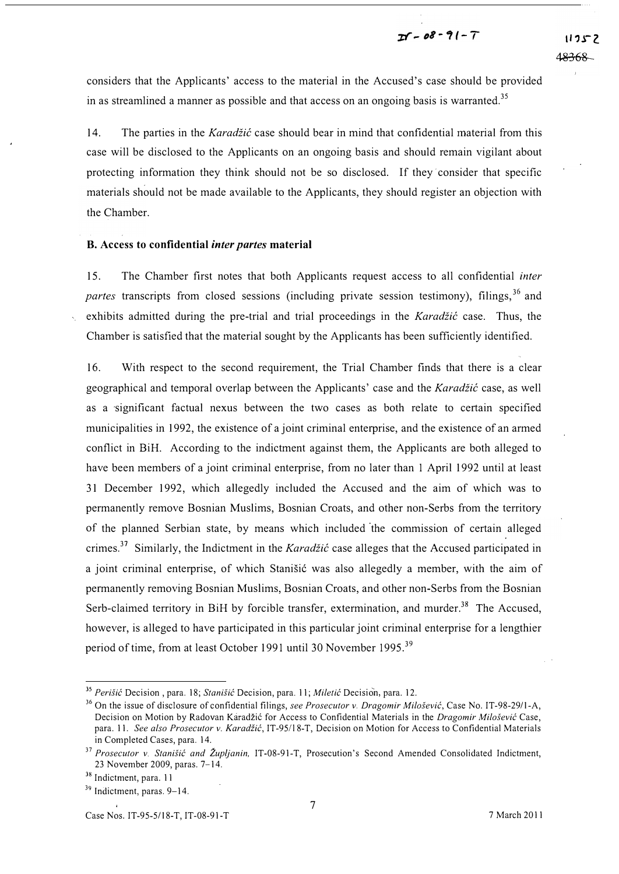considers that the Applicants' access to the material in the Accused's case should be provided in as streamlined a manner as possible and that access on an ongoing basis is warranted.<sup>35</sup>

14. The parties in the Karadžić case should bear in mind that confidential material from this case will be disclosed to the Applicants on an ongoing basis and should remain vigilant about protecting information they think should not be so disclosed. If they' consider that specific materials should not be made available to the Applicants, they should register an objection with the Chamber.

### B. Access to confidential inter partes material

15. The Chamber first notes that both Applicants request access to all confidential inter partes transcripts from closed sessions (including private session testimony), filings,  $3^6$  and exhibits admitted during the pre-trial and trial proceedings in the Karadžić case. Thus, the Chamber is satisfied that the material sought by the Applicants has been sufficiently identified.

16. With respect to the second requirement, the Trial Chamber finds that there is a clear geographical and temporal overlap between the Applicants' case and the Karadžić case, as well as a significant factual nexus between the two cases as both relate to certain specified municipalities in 1992, the existence of a joint criminal enterprise, and the existence of an armed conflict in BiH. According to the indictment against them, the Applicants are both alleged to have been members of a joint criminal enterprise, from no later than 1 April 1992 until at least 31 December 1992, which allegedly included the Accused and the aim of which was to permanently remove Bosnian Muslims, Bosnian Croats, and other non-Serbs from the territory of the planned Serbian state, by means which included 'the commission of certain alleged crimes.<sup>37</sup> Similarly, the Indictment in the *Karadžić* case alleges that the Accused participated in a joint criminal enterprise, of which Stanisić was also allegedly a member, with the aim of permanently removing Bosnian Muslims, Bosnian Croats, and other non-Serbs from the Bosnian Serb-claimed territory in BiH by forcible transfer, extermination, and murder.<sup>38</sup> The Accused, however, is alleged to have participated in this particular joint criminal enterprise for a lengthier period of time, from at least October 1991 until 30 November 1995.<sup>39</sup>

<sup>&</sup>lt;sup>35</sup> Perišić Decision, para. 18; Stanišić Decision, para. 11; Miletić Decision, para. 12.

<sup>&</sup>lt;sup>36</sup> On the issue of disclosure of confidential filings, see Prosecutor v. Dragomir Milošević, Case No. IT-98-29/1-A, Decision on Motion by Radovan Karadžić for Access to Confidential Materials in the Dragomir Milošević Case, para. 11. See also Prosecutor v. Karadžić, IT-95/18-T, Decision on Motion for Access to Confidential Materials in Completed Cases, para. 14.

<sup>&</sup>lt;sup>37</sup> Prosecutor v. Stanišić and Župljanin, IT-08-91-T, Prosecution's Second Amended Consolidated Indictment, 23 November 2009, paras. 7-14.

<sup>&</sup>lt;sup>38</sup> Indictment, para. 11

<sup>&</sup>lt;sup>39</sup> Indictment, paras. 9–14.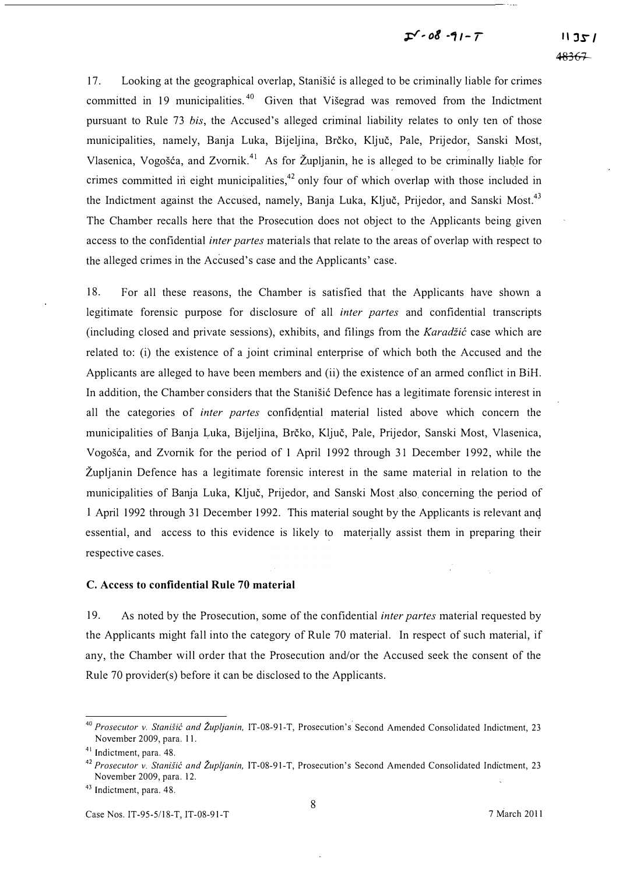# $I - 08 - 91 - 7$

17. Looking at the geographical overlap, Stanisic is alleged to be criminally liable for crimes committed in 19 municipalities.<sup>40</sup> Given that Visegrad was removed from the Indictment pursuant to Rule 73 bis, the Accused's alleged criminal liability relates to only ten of those municipalities, namely, Banja Luka, Bijeljina, Brčko, Ključ, Pale, Prijedor, Sanski Most, Vlasenica, Vogošća, and Zvornik.<sup>41</sup> As for Župljanin, he is alleged to be criminally liable for crimes committed in eight municipalities,  $42$  only four of which overlap with those included in the Indictment against the Accused, namely, Banja Luka, Ključ, Prijedor, and Sanski Most.<sup>43</sup> The Chamber recalls here that the Prosecution does not object to the Applicants being given access to the confidential inter partes materials that relate to the areas of overlap with respect to the alleged crimes in the Accused's case and the Applicants' case.

18. For all these reasons, the Chamber is satisfied that the Applicants have shown a legitimate forensic purpose for disclosure of all inter partes and confidential transcripts (including closed and private sessions), exhibits, and filings from the Karadžić case which are related to: (i) the existence of a joint criminal enterprise of which both the Accused and the Applicants are alleged to have been members and (ii) the existence of an armed conflict in BiH. In addition, the Chamber considers that the Stanisic Defence has a legitimate forensic interest in all the categories of inter partes confidential material listed above which concern the municipalities of Banja Luka, Bijeljina, Brčko, Ključ, Pale, Prijedor, Sanski Most, Vlasenica, Vogošća, and Zvornik for the period of 1 April 1992 through 31 December 1992, while the Zupljanin Defence has a legitimate forensic interest in the same material in relation to the municipalities of Banja Luka, Kljuc, Prijedor, and Sanski Most also concerning the period of 1 April 1992 through 31 December 1992. This material sought by the Applicants is relevant and essential, and access to this evidence is likely to materially assist them in preparing their respective cases.

#### C. Access to confidential Rule 70 material

19. As noted by the Prosecution, some of the confidential *inter partes* material requested by the Applicants might fall into the category of Rule 70 material. In respect of such material, if any, the Chamber will order that the Prosecution and/or the Accused seek the consent of the Rule 70 provider(s) before it can be disclosed to the Applicants.

<sup>&</sup>lt;sup>40</sup> Prosecutor v. Stanišić and Župljanin, IT-08-91-T, Prosecution's Second Amended Consolidated Indictment, 23 November 2009, para. 11.

<sup>41</sup> Indictment, para. 48.

<sup>&</sup>lt;sup>42</sup> Prosecutor v. Stanišić and Župljanin, IT-08-91-T, Prosecution's Second Amended Consolidated Indictment, 23 November 2009, para. 12.

<sup>43</sup> Indictment, para. 48.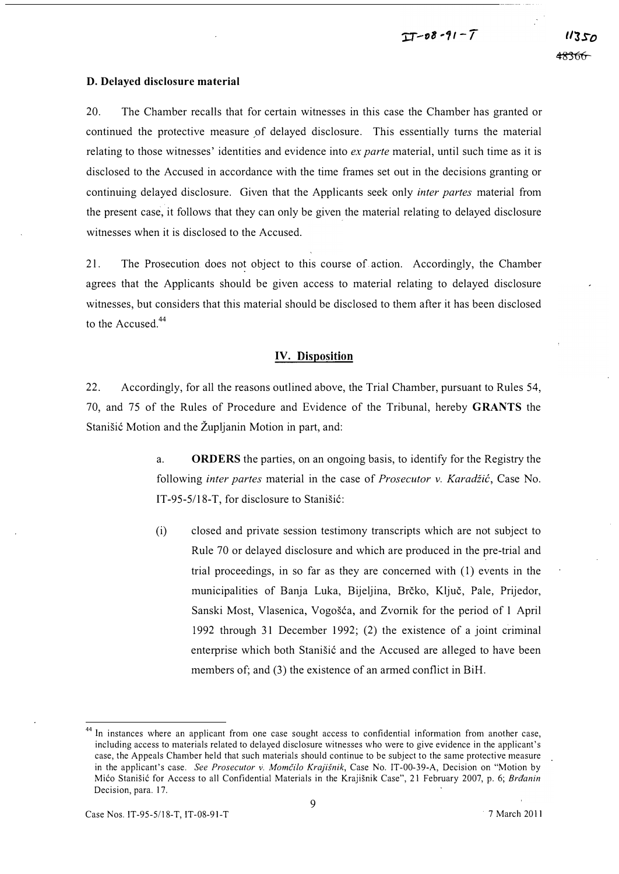#### D. Delayed disclosure material

20. The Chamber recalls that for certain witnesses in this case the Chamber has granted or continued the protective measure of delayed disclosure. This essentially turns the material relating to those witnesses' identities and evidence into ex parte material, until such time as it is disclosed to the Accused in accordance with the time frames set out in the decisions granting or continuing delayed disclosure. Given that the Applicants seek only inter partes material from the present case, it follows that they can only be given the material relating to delayed disclosure witnesses when it is disclosed to the Accused.

21. The Prosecution does not object to this course of action. Accordingly, the Chamber agrees that the Applicants should be given access to material relating to delayed disclosure witnesses, but considers that this material should be disclosed to them after it has been disclosed to the Accused.<sup>44</sup>

### IV. Disposition

22. Accordingly, for all the reasons outlined above, the Trial Chamber, pursuant to Rules 54, 70, and 75 of the Rules of Procedure and Evidence of the Tribunal, hereby GRANTS the Stanisic Motion and the Zupljanin Motion in part, and:

- a. ORDERS the parties, on an ongoing basis, to identify for the Registry the following inter partes material in the case of Prosecutor v. Karadžić, Case No. IT -95-5/18-T, for disclosure to Stanisic:
- (i) closed and private session testimony transcripts which are not subject to Rule 70 or delayed disclosure and which are produced in the pre-trial and trial proceedings, in so far as they are concerned with (I) events in the municipalities of Banja Luka, Bijeljina, Brčko, Ključ, Pale, Prijedor, Sanski Most, Vlasenica, Vogošća, and Zvornik for the period of 1 April 1992 through 31 December 1992; (2) the existence of a joint criminal enterprise which both Stanisic and the Accused are alleged to have been members of; and (3) the existence of an armed conflict in BiH.

<sup>&</sup>lt;sup>44</sup> In instances where an applicant from one case sought access to confidential information from another case, including access to materials related to delayed disclosure witnesses who were to give evidence in the applicant's case, the Appeals Chamber held that such materials should continue to be subject to the same protective measure in the applicant's case. See Prosecutor v. Momčilo Krajišnik, Case No. IT-00-39-A, Decision on "Motion by Mićo Stanišić for Access to all Confidential Materials in the Krajišnik Case", 21 February 2007, p. 6; Brđanin Decision, para. 17.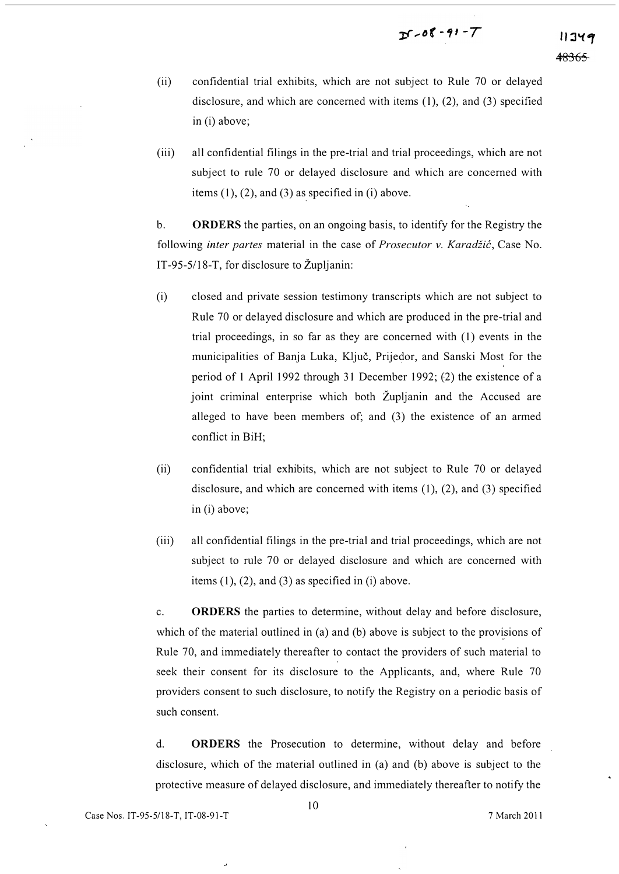- (ii) confidential trial exhibits, which are not subject to Rule 70 or delayed disclosure, and which are concerned with items (1), (2), and (3) specified in (i) above;
- (iii) all confidential filings in the pre-trial and trial proceedings, which are not subject to rule 70 or delayed disclosure and which are concerned with items  $(1)$ ,  $(2)$ , and  $(3)$  as specified in  $(i)$  above.

b. ORDERS the parties, on an ongoing basis, to identify for the Registry the following *inter partes* material in the case of *Prosecutor v. Karadžić*, Case No. IT-95-5/18-T, for disclosure to Zupljanin:

- (i) closed and private session testimony transcripts which are not subject to Rule 70 or delayed disclosure and which are produced in the pre-trial and trial proceedings, in so far as they are concerned with (1) events in the municipalities of Banja Luka, Kljuc, Prijedor, and Sanski Most for the , period of 1 April 1992 through 31 December 1992; (2) the existence of a joint criminal enterprise which both ZupJjanin and the Accused are alleged to have been members of; and (3) the existence of an armed conflict in BiH;
- (ii) confidential trial exhibits, which are not subject to Rule 70 or delayed disclosure, and which are concerned with items (1), (2), and (3) specified in (i) above;
- (iii) all confidential filings in the pre-trial and trial proceedings, which are not subject to rule 70 or delayed disclosure and which are concerned with items  $(1)$ ,  $(2)$ , and  $(3)$  as specified in  $(i)$  above.

c. ORDERS the parties to detennine, without delay and before disclosure, which of the material outlined in (a) and (b) above is subject to the provisions of Rule 70, and immediately thereafter to contact the providers of such material to seek their consent for its disclosure to the Applicants, and, where Rule 70 providers consent to such disclosure, to notify the Registry on a periodic basis of such consent.

d. ORDERS the Prosecution to determine, without delay and before disclosure, which of the material outlined in (a) and (b) above is subject to the protective measure of delayed disclosure, and immediately thereafter to notify the

 $\overline{\phantom{a}}$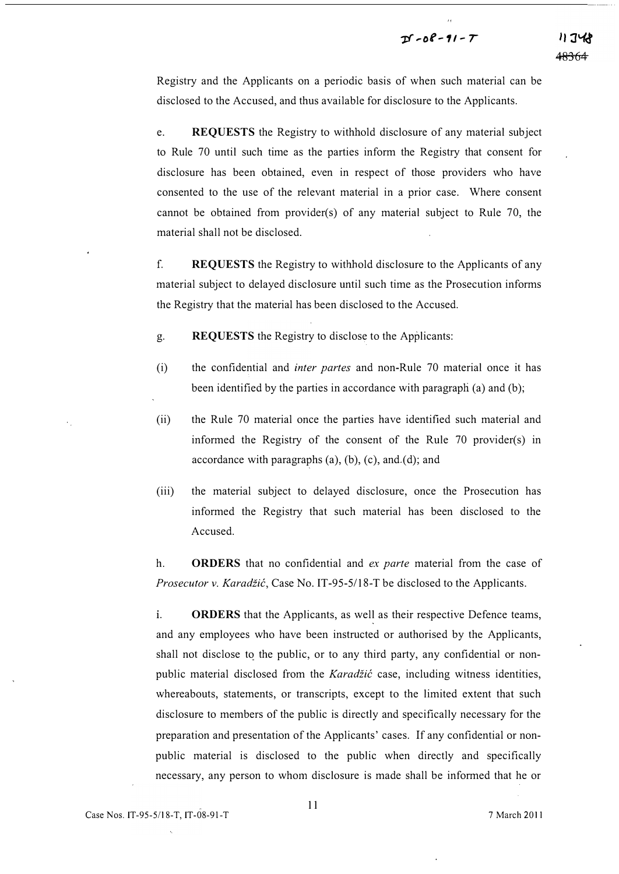### $Df - 08 - 91 - T$

Registry and the Applicants on a periodic basis of when such material can be disclosed to the Accused, and thus available for disclosure to the Applicants.

e. REQUESTS the Registry to withhold disclosure of any material subject to Rule 70 until such time as the parties inform the Registry that consent for disclosure has been obtained, even in respect of those providers who have consented to the use of the relevant material in a prior case. Where consent cannot be obtained from provider(s) of any material subject to Rule 70, the material shall not be disclosed.

f. REQUESTS the Registry to withhold disclosure to the Applicants of any material subject to delayed disclosure until such time as the Prosecution informs the Registry that the material has been disclosed to the Accused.

g. REQUESTS the Registry to disclose to the Applicants:

- (i) the confidential and inter partes and non-Rule 70 material once it has been identified by the parties in accordance with paragraph (a) and (b);
- (ii) the Rule 70 material once the parties have identified such material and informed the Registry of the consent of the Rule 70 provider(s) in accordance with paragraphs  $(a)$ ,  $(b)$ ,  $(c)$ , and  $(d)$ ; and
- (iii) the material subject to delayed disclosure, once the Prosecution has informed the Registry that such material has been disclosed to the Accused.

h. **ORDERS** that no confidential and *ex parte* material from the case of Prosecutor v. Karadžić, Case No. IT-95-5/18-T be disclosed to the Applicants.

i. **ORDERS** that the Applicants, as well as their respective Defence teams, and any employees who have been instructed or authorised by the Applicants, shall not disclose to the public, or to any third party, any confidential or nonpublic material disclosed from the Karadžić case, including witness identities, whereabouts, statements, or transcripts, except to the limited extent that such disclosure to members of the public is directly and specifically necessary for the preparation and presentation of the Applicants' cases. If any confidential or nonpublic material is disclosed to the public when directly and specifically necessary, any person to whom disclosure is made shall be informed that he or